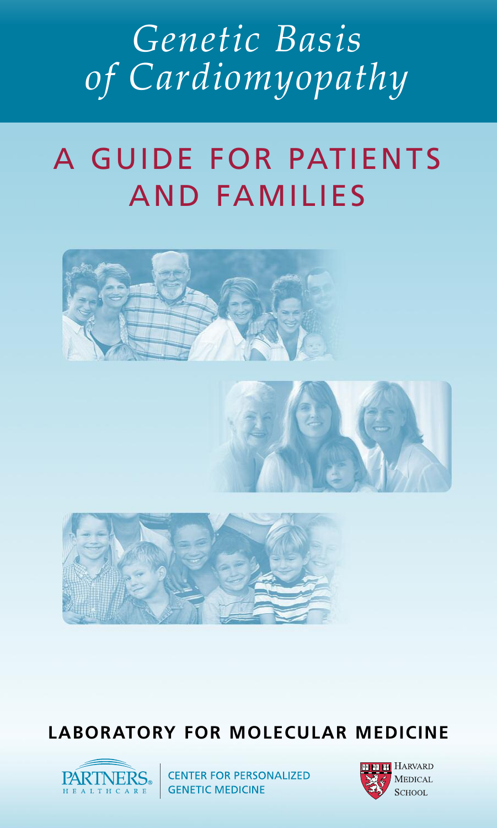# *Genetic Basis of Cardiomyopathy*

# A GUIDE FOR PATIENTS AND FAMILIES



# **LABORATORY FOR MOLECULAR MEDICINE**



 $\left| \underset{\text{H E A L T H C A R E}}{\text{A L T H C A E}} \right|$  CENTER FOR PERSONALIZED

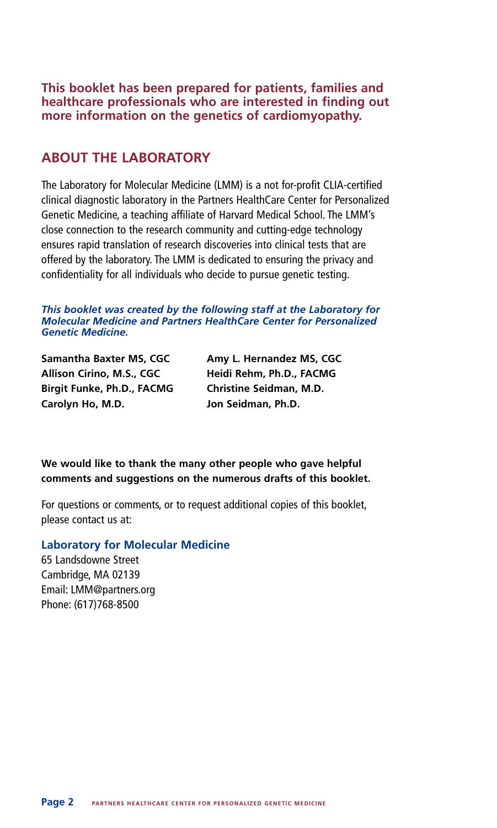**This booklet has been prepared for patients, families and healthcare professionals who are interested in finding out more information on the genetics of cardiomyopathy.**

#### **ABOUT THE LABORATORY**

The Laboratory for Molecular Medicine (LMM) is a not for-profit CLIA-certified clinical diagnostic laboratory in the Partners HealthCare Center for Personalized Genetic Medicine, a teaching affiliate of Harvard Medical School. The LMM's close connection to the research community and cutting-edge technology ensures rapid translation of research discoveries into clinical tests that are offered by the laboratory. The LMM is dedicated to ensuring the privacy and confidentiality for all individuals who decide to pursue genetic testing.

#### *This booklet was created by the following staff at the Laboratory for Molecular Medicine and Partners HealthCare Center for Personalized Genetic Medicine.*

**Samantha Baxter MS, CGC Amy L. Hernandez MS, CGC Allison Cirino, M.S., CGC Heidi Rehm, Ph.D., FACMG Birgit Funke, Ph.D., FACMG Christine Seidman, M.D. Carolyn Ho, M.D. Jon Seidman, Ph.D.**

**We would like to thank the many other people who gave helpful comments and suggestions on the numerous drafts of this booklet.**

For questions or comments, or to request additional copies of this booklet, please contact us at:

#### **Laboratory for Molecular Medicine**

65 Landsdowne Street Cambridge, MA 02139 Email: LMM@partners.org Phone: (617)768-8500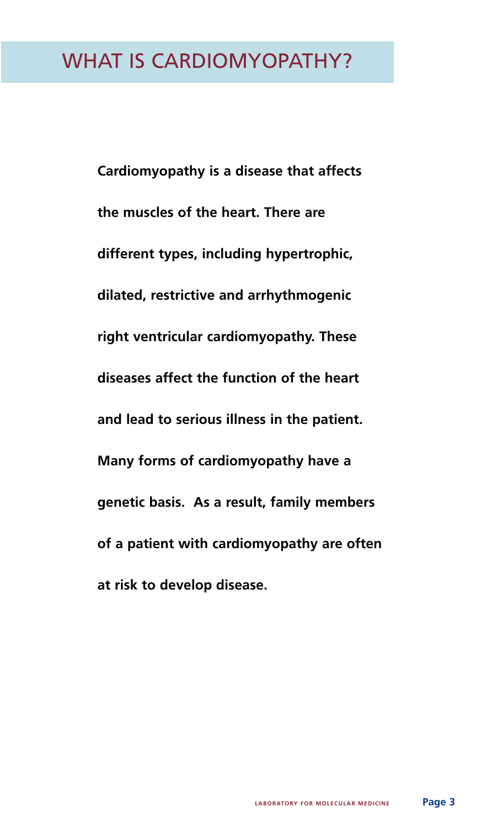# WHAT IS CARDIOMYOPATHY?

**Cardiomyopathy is a disease that affects the muscles of the heart. There are different types, including hypertrophic, dilated, restrictive and arrhythmogenic right ventricular cardiomyopathy. These diseases affect the function of the heart and lead to serious illness in the patient. Many forms of cardiomyopathy have a genetic basis. As a result, family members of a patient with cardiomyopathy are often at risk to develop disease.**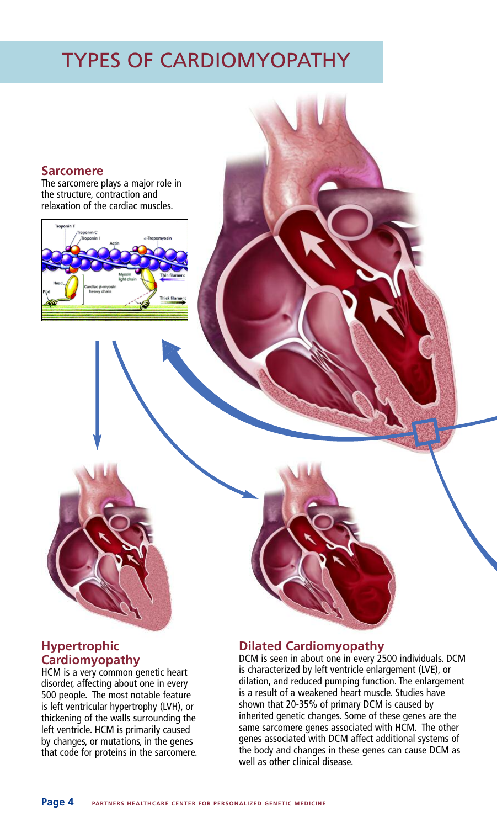# TYPES OF CARDIOMYOPATHY

#### **Sarcomere**

The sarcomere plays a major role in the structure, contraction and relaxation of the cardiac muscles.



#### **Hypertrophic Cardiomyopathy**

HCM is a very common genetic heart disorder, affecting about one in every 500 people. The most notable feature is left ventricular hypertrophy (LVH), or thickening of the walls surrounding the left ventricle. HCM is primarily caused by changes, or mutations, in the genes that code for proteins in the sarcomere.

#### **Dilated Cardiomyopathy**

DCM is seen in about one in every 2500 individuals. DCM is characterized by left ventricle enlargement (LVE), or dilation, and reduced pumping function. The enlargement is a result of a weakened heart muscle. Studies have shown that 20-35% of primary DCM is caused by inherited genetic changes. Some of these genes are the same sarcomere genes associated with HCM. The other genes associated with DCM affect additional systems of the body and changes in these genes can cause DCM as well as other clinical disease.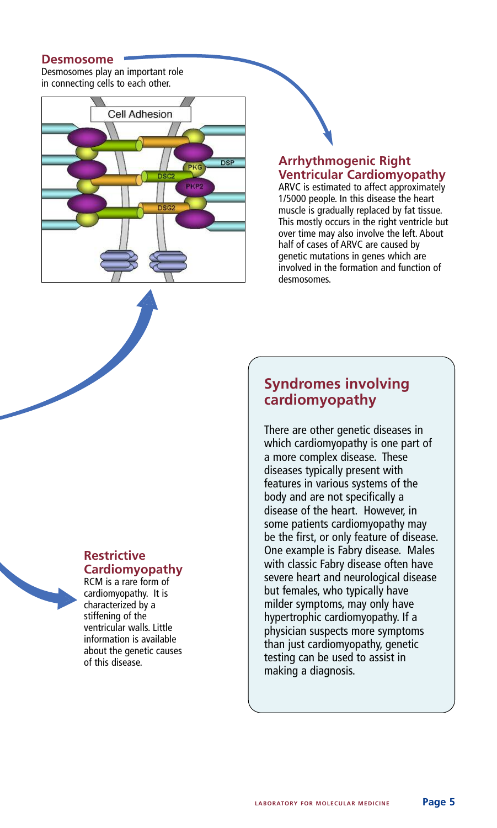#### **Desmosome**

Desmosomes play an important role in connecting cells to each other.



#### **Arrhythmogenic Right Ventricular Cardiomyopathy**

ARVC is estimated to affect approximately 1/5000 people. In this disease the heart muscle is gradually replaced by fat tissue. This mostly occurs in the right ventricle but over time may also involve the left. About half of cases of ARVC are caused by genetic mutations in genes which are involved in the formation and function of desmosomes.

# **Restrictive**

**Cardiomyopathy** RCM is a rare form of cardiomyopathy. It is characterized by a stiffening of the ventricular walls. Little information is available about the genetic causes

of this disease.

## **Syndromes involving cardiomyopathy**

There are other genetic diseases in which cardiomyopathy is one part of a more complex disease. These diseases typically present with features in various systems of the body and are not specifically a disease of the heart. However, in some patients cardiomyopathy may be the first, or only feature of disease. One example is Fabry disease. Males with classic Fabry disease often have severe heart and neurological disease but females, who typically have milder symptoms, may only have hypertrophic cardiomyopathy. If a physician suspects more symptoms than just cardiomyopathy, genetic testing can be used to assist in making a diagnosis.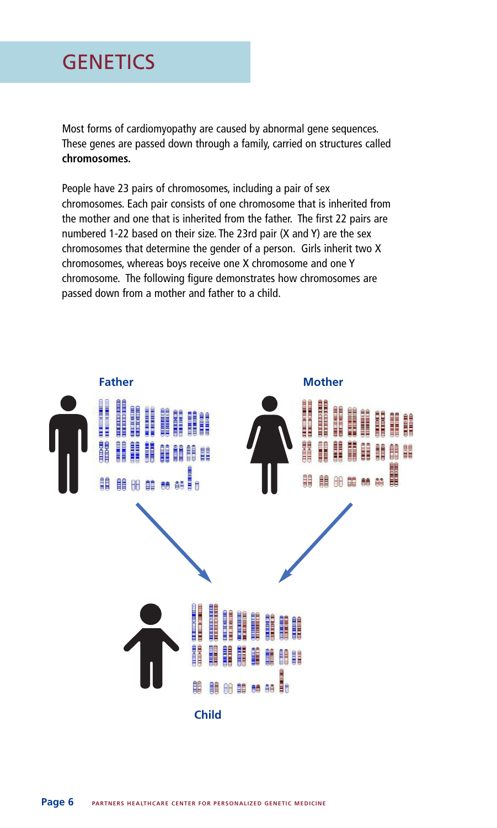# **GENETICS**

Most forms of cardiomyopathy are caused by abnormal gene sequences. These genes are passed down through a family, carried on structures called **chromosomes.**

People have 23 pairs of chromosomes, including a pair of sex chromosomes. Each pair consists of one chromosome that is inherited from the mother and one that is inherited from the father. The first 22 pairs are numbered 1-22 based on their size. The 23rd pair (X and Y) are the sex chromosomes that determine the gender of a person. Girls inherit two X chromosomes, whereas boys receive one X chromosome and one Y chromosome. The following figure demonstrates how chromosomes are passed down from a mother and father to a child.

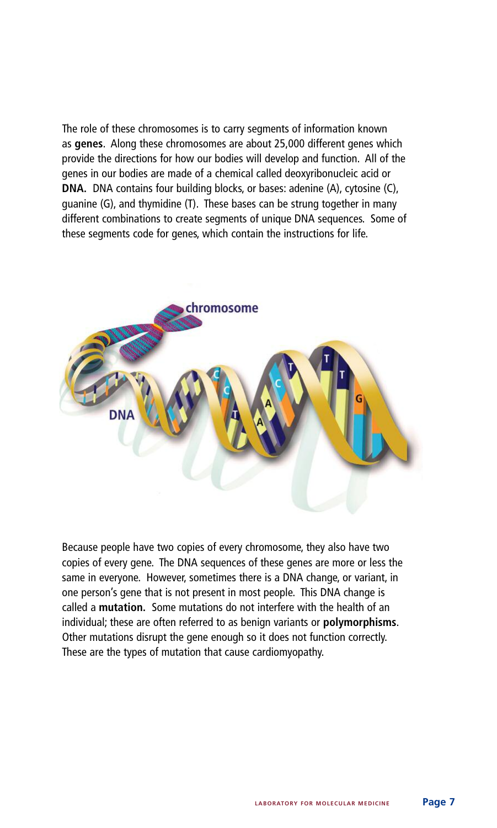The role of these chromosomes is to carry segments of information known as **genes**. Along these chromosomes are about 25,000 different genes which provide the directions for how our bodies will develop and function. All of the genes in our bodies are made of a chemical called deoxyribonucleic acid or **DNA.** DNA contains four building blocks, or bases: adenine (A), cytosine (C), guanine (G), and thymidine (T). These bases can be strung together in many different combinations to create segments of unique DNA sequences. Some of these segments code for genes, which contain the instructions for life.



Because people have two copies of every chromosome, they also have two copies of every gene. The DNA sequences of these genes are more or less the same in everyone. However, sometimes there is a DNA change, or variant, in one person's gene that is not present in most people. This DNA change is called a **mutation.** Some mutations do not interfere with the health of an individual; these are often referred to as benign variants or **polymorphisms**. Other mutations disrupt the gene enough so it does not function correctly. These are the types of mutation that cause cardiomyopathy.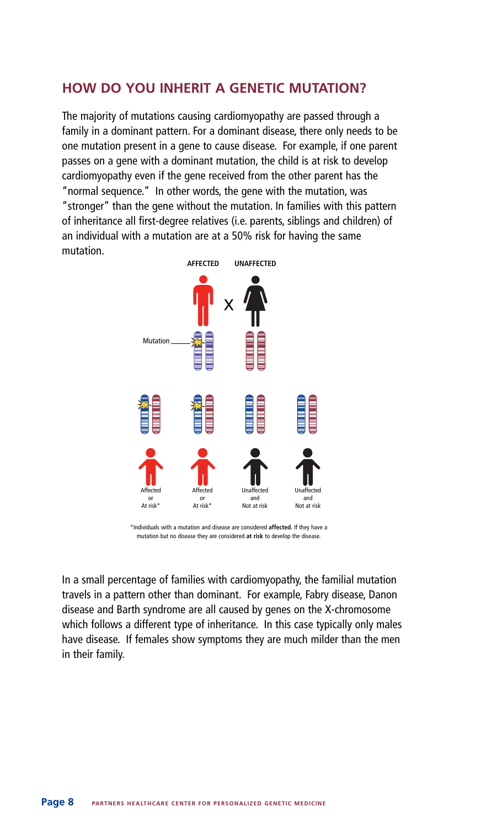### **HOW DO YOU INHERIT A GENETIC MUTATION?**

The majority of mutations causing cardiomyopathy are passed through a family in a dominant pattern. For a dominant disease, there only needs to be one mutation present in a gene to cause disease. For example, if one parent passes on a gene with a dominant mutation, the child is at risk to develop cardiomyopathy even if the gene received from the other parent has the "normal sequence." In other words, the gene with the mutation, was "stronger" than the gene without the mutation. In families with this pattern of inheritance all first-degree relatives (i.e. parents, siblings and children) of an individual with a mutation are at a 50% risk for having the same mutation.



\*Individuals with a mutation and disease are considered **affected.** If they have a mutation but no disease they are considered **at risk** to develop the disease.

In a small percentage of families with cardiomyopathy, the familial mutation travels in a pattern other than dominant. For example, Fabry disease, Danon disease and Barth syndrome are all caused by genes on the X-chromosome which follows a different type of inheritance. In this case typically only males have disease. If females show symptoms they are much milder than the men in their family.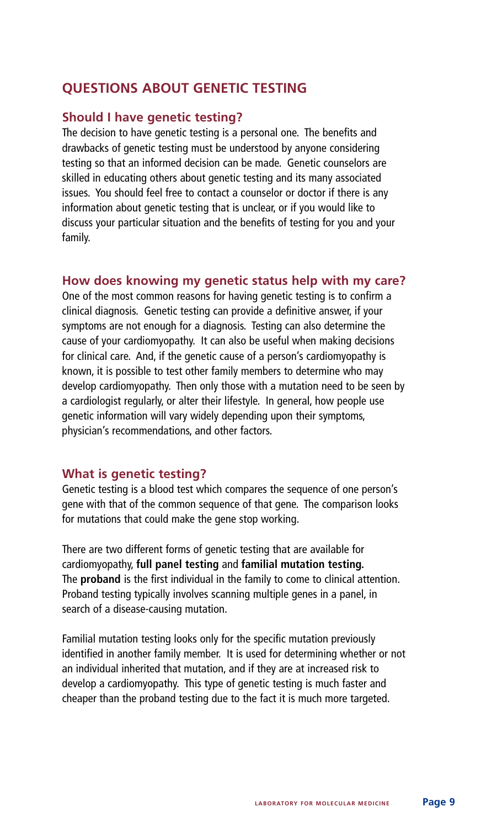## **QUESTIONS ABOUT GENETIC TESTING**

#### **Should I have genetic testing?**

The decision to have genetic testing is a personal one. The benefits and drawbacks of genetic testing must be understood by anyone considering testing so that an informed decision can be made. Genetic counselors are skilled in educating others about genetic testing and its many associated issues. You should feel free to contact a counselor or doctor if there is any information about genetic testing that is unclear, or if you would like to discuss your particular situation and the benefits of testing for you and your family.

#### **How does knowing my genetic status help with my care?**

One of the most common reasons for having genetic testing is to confirm a clinical diagnosis. Genetic testing can provide a definitive answer, if your symptoms are not enough for a diagnosis. Testing can also determine the cause of your cardiomyopathy. It can also be useful when making decisions for clinical care. And, if the genetic cause of a person's cardiomyopathy is known, it is possible to test other family members to determine who may develop cardiomyopathy. Then only those with a mutation need to be seen by a cardiologist regularly, or alter their lifestyle. In general, how people use genetic information will vary widely depending upon their symptoms, physician's recommendations, and other factors.

#### **What is genetic testing?**

Genetic testing is a blood test which compares the sequence of one person's gene with that of the common sequence of that gene. The comparison looks for mutations that could make the gene stop working.

There are two different forms of genetic testing that are available for cardiomyopathy, **full panel testing** and **familial mutation testing.** The **proband** is the first individual in the family to come to clinical attention. Proband testing typically involves scanning multiple genes in a panel, in search of a disease-causing mutation.

Familial mutation testing looks only for the specific mutation previously identified in another family member. It is used for determining whether or not an individual inherited that mutation, and if they are at increased risk to develop a cardiomyopathy. This type of genetic testing is much faster and cheaper than the proband testing due to the fact it is much more targeted.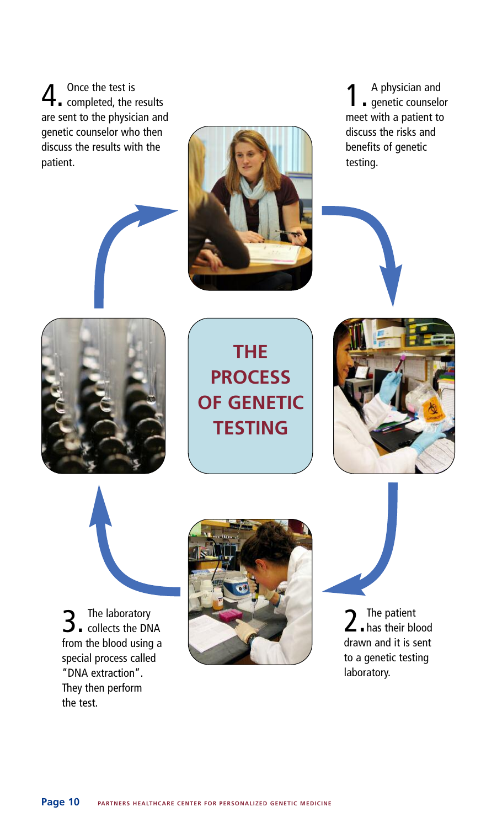4. Once the test is<br>completed, the results are sent to the physician and genetic counselor who then discuss the results with the patient.



1. <sup>A</sup> physician and genetic counselor meet with a patient to discuss the risks and benefits of genetic testing.



**THE PROCESS OF GENETIC TESTING**



**3** The laboratory<br>collects the DNA from the blood using a special process called "DNA extraction". They then perform the test.



2 The patient<br>
2 has their blood The patient drawn and it is sent to a genetic testing laboratory.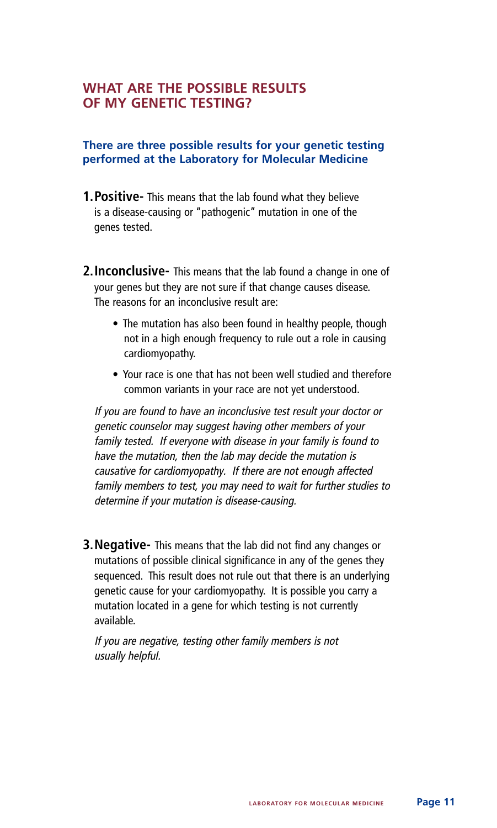### **WHAT ARE THE POSSIBLE RESULTS OF MY GENETIC TESTING?**

#### **There are three possible results for your genetic testing performed at the Laboratory for Molecular Medicine**

- **1.Positive-** This means that the lab found what they believe is a disease-causing or "pathogenic" mutation in one of the genes tested.
- **2.Inconclusive-** This means that the lab found a change in one of your genes but they are not sure if that change causes disease. The reasons for an inconclusive result are:
	- The mutation has also been found in healthy people, though not in a high enough frequency to rule out a role in causing cardiomyopathy.
	- Your race is one that has not been well studied and therefore common variants in your race are not yet understood.

If you are found to have an inconclusive test result your doctor or genetic counselor may suggest having other members of your family tested. If everyone with disease in your family is found to have the mutation, then the lab may decide the mutation is causative for cardiomyopathy. If there are not enough affected family members to test, you may need to wait for further studies to determine if your mutation is disease-causing.

**3.Negative-** This means that the lab did not find any changes or mutations of possible clinical significance in any of the genes they sequenced. This result does not rule out that there is an underlying genetic cause for your cardiomyopathy. It is possible you carry a mutation located in a gene for which testing is not currently available.

If you are negative, testing other family members is not usually helpful.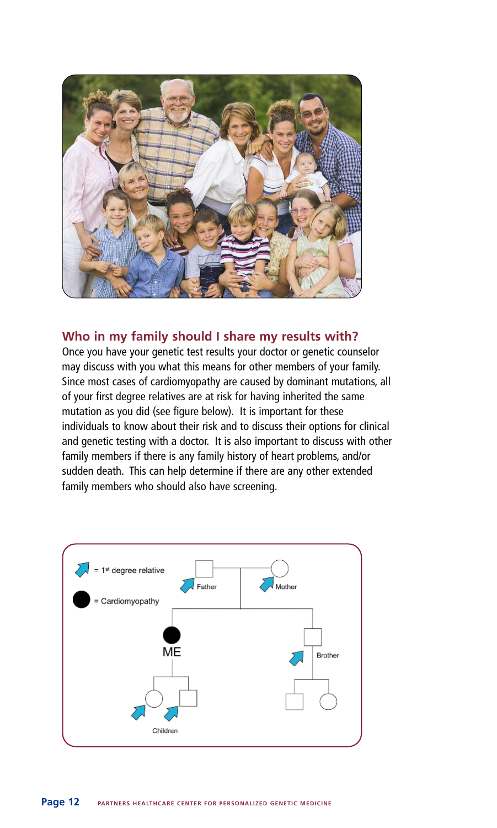

#### **Who in my family should I share my results with?**

Once you have your genetic test results your doctor or genetic counselor may discuss with you what this means for other members of your family. Since most cases of cardiomyopathy are caused by dominant mutations, all of your first degree relatives are at risk for having inherited the same mutation as you did (see figure below). It is important for these individuals to know about their risk and to discuss their options for clinical and genetic testing with a doctor. It is also important to discuss with other family members if there is any family history of heart problems, and/or sudden death. This can help determine if there are any other extended family members who should also have screening.

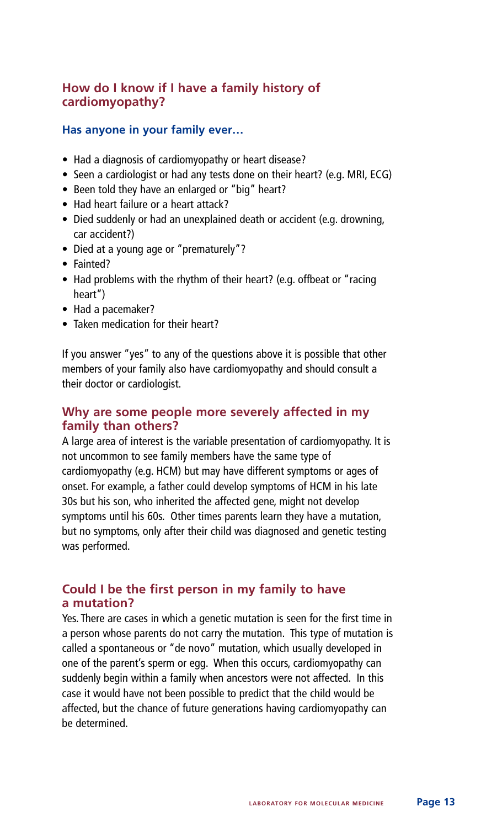#### **How do I know if I have a family history of cardiomyopathy?**

#### **Has anyone in your family ever…**

- Had a diagnosis of cardiomyopathy or heart disease?
- Seen a cardiologist or had any tests done on their heart? (e.g. MRI, ECG)
- Been told they have an enlarged or "big" heart?
- Had heart failure or a heart attack?
- Died suddenly or had an unexplained death or accident (e.g. drowning, car accident?)
- Died at a young age or "prematurely"?
- Fainted?
- Had problems with the rhythm of their heart? (e.g. offbeat or "racing heart")
- Had a pacemaker?
- Taken medication for their heart?

If you answer "yes" to any of the questions above it is possible that other members of your family also have cardiomyopathy and should consult a their doctor or cardiologist.

#### **Why are some people more severely affected in my family than others?**

A large area of interest is the variable presentation of cardiomyopathy. It is not uncommon to see family members have the same type of cardiomyopathy (e.g. HCM) but may have different symptoms or ages of onset. For example, a father could develop symptoms of HCM in his late 30s but his son, who inherited the affected gene, might not develop symptoms until his 60s. Other times parents learn they have a mutation, but no symptoms, only after their child was diagnosed and genetic testing was performed.

#### **Could I be the first person in my family to have a mutation?**

Yes. There are cases in which a genetic mutation is seen for the first time in a person whose parents do not carry the mutation. This type of mutation is called a spontaneous or "de novo" mutation, which usually developed in one of the parent's sperm or egg. When this occurs, cardiomyopathy can suddenly begin within a family when ancestors were not affected. In this case it would have not been possible to predict that the child would be affected, but the chance of future generations having cardiomyopathy can be determined.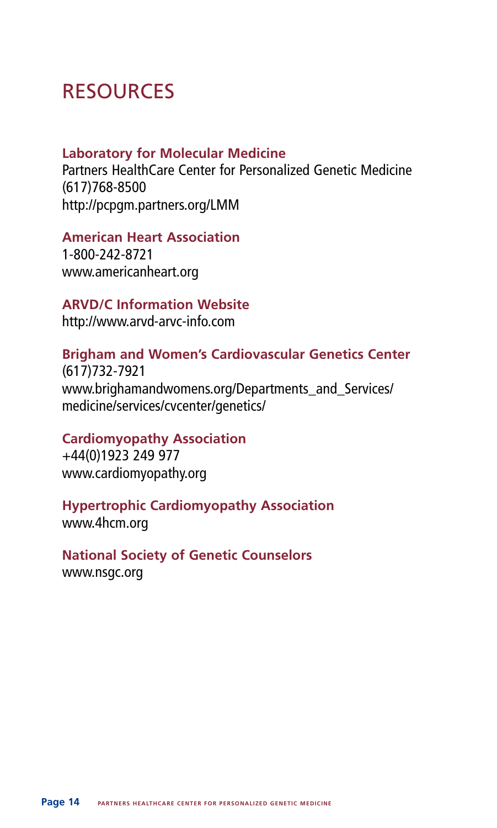# RESOURCES

### **Laboratory for Molecular Medicine**

Partners HealthCare Center for Personalized Genetic Medicine (617)768-8500 http://pcpgm.partners.org/LMM

### **American Heart Association**

1-800-242-8721 www.americanheart.org

### **ARVD/C Information Website**

http://www.arvd-arvc-info.com

## **Brigham and Women's Cardiovascular Genetics Center**

(617)732-7921 www.brighamandwomens.org/Departments\_and\_Services/ medicine/services/cvcenter/genetics/

### **Cardiomyopathy Association**

+44(0)1923 249 977 www.cardiomyopathy.org

# **Hypertrophic Cardiomyopathy Association**

www.4hcm.org

**National Society of Genetic Counselors** www.nsgc.org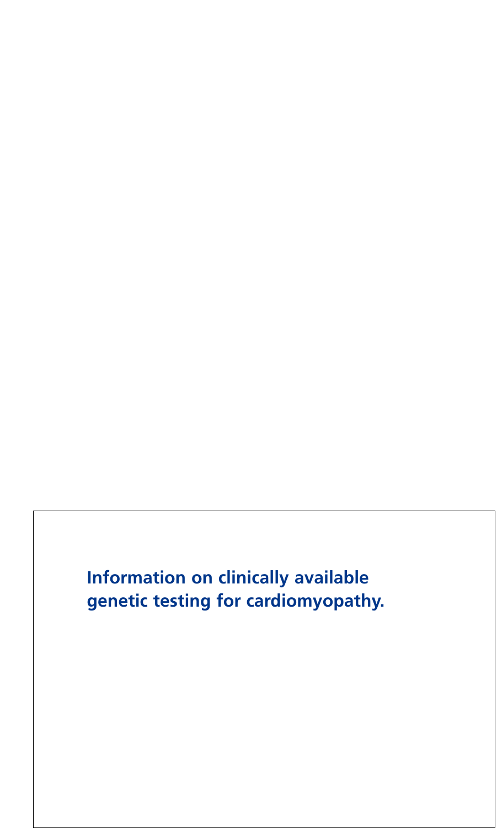**Information on clinically available genetic testing for cardiomyopathy.**